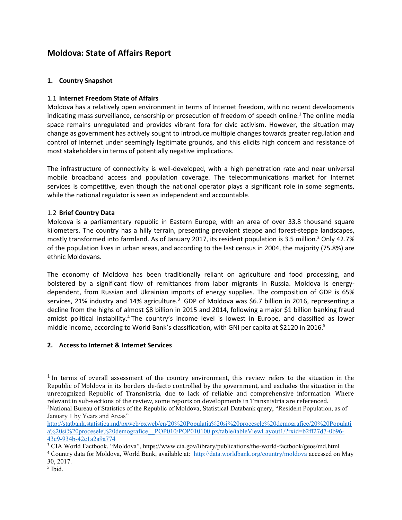# **Moldova: State of Affairs Report**

# **1. Country Snapshot**

## 1.1 **Internet Freedom State of Affairs**

Moldova has a relatively open environment in terms of Internet freedom, with no recent developments indicating mass surveillance, censorship or prosecution of freedom of speech online.<sup>1</sup> The online media space remains unregulated and provides vibrant fora for civic activism. However, the situation may change as government has actively sought to introduce multiple changes towards greater regulation and control of Internet under seemingly legitimate grounds, and this elicits high concern and resistance of most stakeholders in terms of potentially negative implications.

The infrastructure of connectivity is well-developed, with a high penetration rate and near universal mobile broadband access and population coverage. The telecommunications market for Internet services is competitive, even though the national operator plays a significant role in some segments, while the national regulator is seen as independent and accountable.

## 1.2 **Brief Country Data**

Moldova is a parliamentary republic in Eastern Europe, with an area of over 33.8 thousand square kilometers. The country has a hilly terrain, presenting prevalent steppe and forest-steppe landscapes, mostly transformed into farmland. As of January 2017, its resident population is 3.5 million.<sup>2</sup> Only 42.7% of the population lives in urban areas, and according to the last census in 2004, the majority (75.8%) are ethnic Moldovans.

The economy of Moldova has been traditionally reliant on agriculture and food processing, and bolstered by a significant flow of remittances from labor migrants in Russia. Moldova is energydependent, from Russian and Ukrainian imports of energy supplies. The composition of GDP is 65% services, 21% industry and 14% agriculture.<sup>3</sup> GDP of Moldova was \$6.7 billion in 2016, representing a decline from the highs of almost \$8 billion in 2015 and 2014, following a major \$1 billion banking fraud amidst political instability.<sup>4</sup> The country's income level is lowest in Europe, and classified as lower middle income, according to World Bank's classification, with GNI per capita at \$2120 in 2016.<sup>5</sup>

#### **2. Access to Internet & Internet Services**

l

 $1$  In terms of overall assessment of the country environment, this review refers to the situation in the Republic of Moldova in its borders de-facto controlled by the government, and excludes the situation in the unrecognized Republic of Transnistria, due to lack of reliable and comprehensive information. Where relevant in sub-sections of the review, some reports on developments in Transnistria are referenced.

<sup>2</sup>National Bureau of Statistics of the Republic of Moldova, Statistical Databank query, "Resident Population, as of January 1 by Years and Areas"

[http://statbank.statistica.md/pxweb/pxweb/en/20%20Populatia%20si%20procesele%20demografice/20%20Populati](http://statbank.statistica.md/pxweb/pxweb/en/20%20Populatia%20si%20procesele%20demografice/20%20Populatia%20si%20procesele%20demografice__POP010/POP010100.px/table/tableViewLayout1/?rxid=b2ff27d7-0b96-43c9-934b-42e1a2a9a774) [a%20si%20procesele%20demografice\\_\\_POP010/POP010100.px/table/tableViewLayout1/?rxid=b2ff27d7-0b96-](http://statbank.statistica.md/pxweb/pxweb/en/20%20Populatia%20si%20procesele%20demografice/20%20Populatia%20si%20procesele%20demografice__POP010/POP010100.px/table/tableViewLayout1/?rxid=b2ff27d7-0b96-43c9-934b-42e1a2a9a774) [43c9-934b-42e1a2a9a774](http://statbank.statistica.md/pxweb/pxweb/en/20%20Populatia%20si%20procesele%20demografice/20%20Populatia%20si%20procesele%20demografice__POP010/POP010100.px/table/tableViewLayout1/?rxid=b2ff27d7-0b96-43c9-934b-42e1a2a9a774)

<sup>3</sup> CIA World Factbook, "Moldova", https://www.cia.gov/library/publications/the-world-factbook/geos/md.html

<sup>4</sup> Country data for Moldova, World Bank, available at: http://data.worldbank.org/country/moldova accessed on May 30, 2017.

<sup>5</sup> Ibid.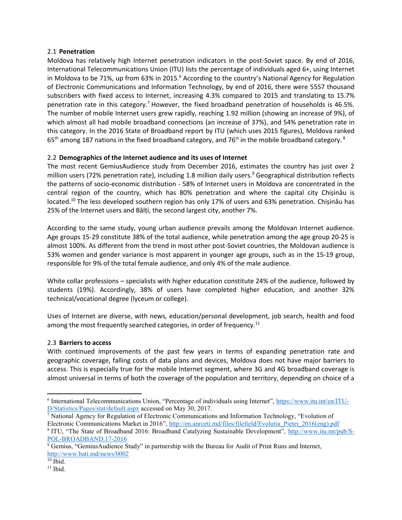#### 2.1 **Penetration**

Moldova has relatively high Internet penetration indicators in the post-Soviet space. By end of 2016, International Telecommunications Union (ITU) lists the percentage of individuals aged 6+, using Internet in Moldova to be 71%, up from 63% in 2015.<sup>6</sup> According to the country's National Agency for Regulation of Electronic Communications and Information Technology, by end of 2016, there were 5557 thousand subscribers with fixed access to Internet, increasing 4.3% compared to 2015 and translating to 15.7% penetration rate in this category.<sup>7</sup> However, the fixed broadband penetration of households is 46.5%. The number of mobile Internet users grew rapidly, reaching 1.92 million (showing an increase of 9%), of which almost all had mobile broadband connections (an increase of 37%), and 54% penetration rate in this category. In the 2016 State of Broadband report by ITU (which uses 2015 figures), Moldova ranked 65<sup>th</sup> among 187 nations in the fixed broadband category, and 76<sup>st</sup> in the mobile broadband category. <sup>8</sup>

#### 2.2 **Demographics of the Internet audience and its uses of Internet**

The most recent GemiusAudience study from December 2016, estimates the country has just over 2 million users (72% penetration rate), including 1.8 million daily users.<sup>9</sup> Geographical distribution reflects the patterns of socio-economic distribution - 58% of Internet users in Moldova are concentrated in the central region of the country, which has 80% penetration and where the capital city Chișinău is located.<sup>10</sup> The less developed southern region has only 17% of users and 63% penetration. Chișinău has 25% of the Internet users and Bălți, the second largest city, another 7%.

According to the same study, young urban audience prevails among the Moldovan Internet audience. Age groups 15-29 constitute 38% of the total audience, while penetration among the age group 20-25 is almost 100%. As different from the trend in most other post-Soviet countries, the Moldovan audience is 53% women and gender variance is most apparent in younger age groups, such as in the 15-19 group, responsible for 9% of the total female audience, and only 4% of the male audience.

White collar professions – specialists with higher education constitute 24% of the audience, followed by students (19%). Accordingly, 38% of users have completed higher education, and another 32% technical/vocational degree (lyceum or college).

Uses of Internet are diverse, with news, education/personal development, job search, health and food among the most frequently searched categories, in order of frequency.<sup>11</sup>

#### 2.3 **Barriers to access**

With continued improvements of the past few years in terms of expanding penetration rate and geographic coverage, falling costs of data plans and devices, Moldova does not have major barriers to access. This is especially true for the mobile Internet segment, where 3G and 4G broadband coverage is almost universal in terms of both the coverage of the population and territory, depending on choice of a

<sup>&</sup>lt;sup>6</sup> International Telecommunications Union, "Percentage of individuals using Internet", [https://www.itu.int/en/ITU-](https://www.itu.int/en/ITU-D/Statistics/Pages/stat/default.aspx)[D/Statistics/Pages/stat/default.aspx](https://www.itu.int/en/ITU-D/Statistics/Pages/stat/default.aspx) accessed on May 30, 2017.

<sup>7</sup> National Agency for Regulation of Electronic Communications and Information Technology, "Evolution of Electronic Communications Market in 2016", [http://en.anrceti.md/files/filefield/Evolutia\\_Pietei\\_2016\(eng\).pdf](http://en.anrceti.md/files/filefield/Evolutia_Pietei_2016(eng).pdf)

<sup>&</sup>lt;sup>8</sup> ITU, "The State of Broadband 2016: Broadband Catalyzing Sustainable Development", [http://www.itu.int/pub/S-](http://www.itu.int/pub/S-POL-BROADBAND.17-2016)[POL-BROADBAND.17-2016](http://www.itu.int/pub/S-POL-BROADBAND.17-2016) 

<sup>&</sup>lt;sup>9</sup> Gemius, "GemiusAudience Study" in partnership with the Bureau for Audit of Print Runs and Internet, <http://www.bati.md/news/0002>

 $10$  Ibid.

 $11$  Ibid.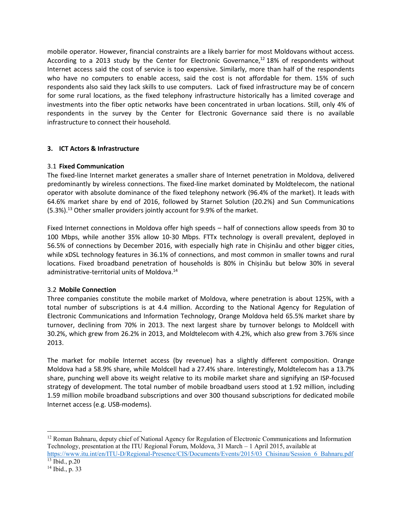mobile operator. However, financial constraints are a likely barrier for most Moldovans without access. According to a 2013 study by the Center for Electronic Governance, $12$  18% of respondents without Internet access said the cost of service is too expensive. Similarly, more than half of the respondents who have no computers to enable access, said the cost is not affordable for them. 15% of such respondents also said they lack skills to use computers. Lack of fixed infrastructure may be of concern for some rural locations, as the fixed telephony infrastructure historically has a limited coverage and investments into the fiber optic networks have been concentrated in urban locations. Still, only 4% of respondents in the survey by the Center for Electronic Governance said there is no available infrastructure to connect their household.

## **3. ICT Actors & Infrastructure**

#### 3.1 **Fixed Communication**

The fixed-line Internet market generates a smaller share of Internet penetration in Moldova, delivered predominantly by wireless connections. The fixed-line market dominated by Moldtelecom, the national operator with absolute dominance of the fixed telephony network (96.4% of the market). It leads with 64.6% market share by end of 2016, followed by Starnet Solution (20.2%) and Sun Communications (5.3%).<sup>13</sup> Other smaller providers jointly account for 9.9% of the market.

Fixed Internet connections in Moldova offer high speeds – half of connections allow speeds from 30 to 100 Mbps, while another 35% allow 10-30 Mbps. FTTx technology is overall prevalent, deployed in 56.5% of connections by December 2016, with especially high rate in Chișinău and other bigger cities, while xDSL technology features in 36.1% of connections, and most common in smaller towns and rural locations. Fixed broadband penetration of households is 80% in Chișinău but below 30% in several administrative-territorial units of Moldova.<sup>14</sup>

# 3.2 **Mobile Connection**

Three companies constitute the mobile market of Moldova, where penetration is about 125%, with a total number of subscriptions is at 4.4 million. According to the National Agency for Regulation of Electronic Communications and Information Technology, Orange Moldova held 65.5% market share by turnover, declining from 70% in 2013. The next largest share by turnover belongs to Moldcell with 30.2%, which grew from 26.2% in 2013, and Moldtelecom with 4.2%, which also grew from 3.76% since 2013.

The market for mobile Internet access (by revenue) has a slightly different composition. Orange Moldova had a 58.9% share, while Moldcell had a 27.4% share. Interestingly, Moldtelecom has a 13.7% share, punching well above its weight relative to its mobile market share and signifying an ISP-focused strategy of development. The total number of mobile broadband users stood at 1.92 million, including 1.59 million mobile broadband subscriptions and over 300 thousand subscriptions for dedicated mobile Internet access (e.g. USB-modems).

 $\overline{a}$ <sup>12</sup> Roman Bahnaru, deputy chief of National Agency for Regulation of Electronic Communications and Information Technology, presentation at the ITU Regional Forum, Moldova, 31 March – 1 April 2015, available at

[https://www.itu.int/en/ITU-D/Regional-Presence/CIS/Documents/Events/2015/03\\_Chisinau/Session\\_6\\_Bahnaru.pdf](https://www.itu.int/en/ITU-D/Regional-Presence/CIS/Documents/Events/2015/03_Chisinau/Session_6_Bahnaru.pdf) <sup>13</sup> Ibid., p.20

<sup>14</sup> Ibid., p. 33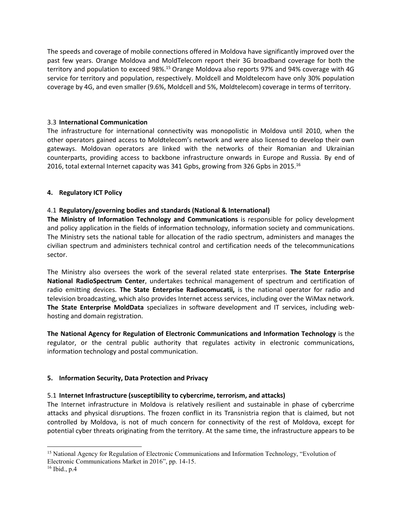The speeds and coverage of mobile connections offered in Moldova have significantly improved over the past few years. Orange Moldova and MoldTelecom report their 3G broadband coverage for both the territory and population to exceed 98%.<sup>15</sup> Orange Moldova also reports 97% and 94% coverage with 4G service for territory and population, respectively. Moldcell and Moldtelecom have only 30% population coverage by 4G, and even smaller (9.6%, Moldcell and 5%, Moldtelecom) coverage in terms of territory.

## 3.3 **International Communication**

The infrastructure for international connectivity was monopolistic in Moldova until 2010, when the other operators gained access to Moldtelecom's network and were also licensed to develop their own gateways. Moldovan operators are linked with the networks of their Romanian and Ukrainian counterparts, providing access to backbone infrastructure onwards in Europe and Russia. By end of 2016, total external Internet capacity was 341 Gpbs, growing from 326 Gpbs in 2015.<sup>16</sup>

# **4. Regulatory ICT Policy**

# 4.1 **Regulatory/governing bodies and standards (National & International)**

**The Ministry of Information Technology and Communications** is responsible for policy development and policy application in the fields of information technology, information society and communications. The Ministry sets the national table for allocation of the radio spectrum, administers and manages the civilian spectrum and administers technical control and certification needs of the telecommunications sector.

The Ministry also oversees the work of the several related state enterprises. **The State Enterprise National RadioSpectrum Center**, undertakes technical management of spectrum and certification of radio emitting devices. **The State Enterprise Radiocomucatii,** is the national operator for radio and television broadcasting, which also provides Internet access services, including over the WiMax network. **The State Enterprise MoldData** specializes in software development and IT services, including webhosting and domain registration.

**The National Agency for Regulation of Electronic Communications and Information Technology** is the regulator, or the central public authority that regulates activity in electronic communications, information technology and postal communication.

#### **5. Information Security, Data Protection and Privacy**

#### 5.1 **Internet Infrastructure (susceptibility to cybercrime, terrorism, and attacks)**

The Internet infrastructure in Moldova is relatively resilient and sustainable in phase of cybercrime attacks and physical disruptions. The frozen conflict in its Transnistria region that is claimed, but not controlled by Moldova, is not of much concern for connectivity of the rest of Moldova, except for potential cyber threats originating from the territory. At the same time, the infrastructure appears to be

 $\overline{a}$ <sup>15</sup> National Agency for Regulation of Electronic Communications and Information Technology, "Evolution of Electronic Communications Market in 2016", pp. 14-15.

 $16$  Ibid., p.4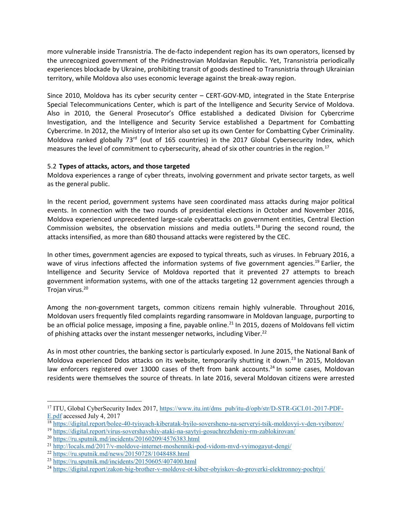more vulnerable inside Transnistria. The de-facto independent region has its own operators, licensed by the unrecognized government of the Pridnestrovian Moldavian Republic. Yet, Transnistria periodically experiences blockade by Ukraine, prohibiting transit of goods destined to Transnistria through Ukrainian territory, while Moldova also uses economic leverage against the break-away region.

Since 2010, Moldova has its cyber security center – CERT-GOV-MD, integrated in the State Enterprise Special Telecommunications Center, which is part of the Intelligence and Security Service of Moldova. Also in 2010, the General Prosecutor's Office established a dedicated Division for Cybercrime Investigation, and the Intelligence and Security Service established a Department for Combatting Cybercrime. In 2012, the Ministry of Interior also set up its own Center for Combatting Cyber Criminality. Moldova ranked globally  $73<sup>rd</sup>$  (out of 165 countries) in the 2017 Global Cybersecurity Index, which measures the level of commitment to cybersecurity, ahead of six other countries in the region.<sup>17</sup>

## 5.2 **Types of attacks, actors, and those targeted**

Moldova experiences a range of cyber threats, involving government and private sector targets, as well as the general public.

In the recent period, government systems have seen coordinated mass attacks during major political events. In connection with the two rounds of presidential elections in October and November 2016, Moldova experienced unprecedented large-scale cyberattacks on government entities, Central Election Commission websites, the observation missions and media outlets.<sup>18</sup> During the second round, the attacks intensified, as more than 680 thousand attacks were registered by the CEC.

In other times, government agencies are exposed to typical threats, such as viruses. In February 2016, a wave of virus infections affected the information systems of five government agencies.<sup>19</sup> Earlier, the Intelligence and Security Service of Moldova reported that it prevented 27 attempts to breach government information systems, with one of the attacks targeting 12 government agencies through a Trojan virus.<sup>20</sup>

Among the non-government targets, common citizens remain highly vulnerable. Throughout 2016, Moldovan users frequently filed complaints regarding ransomware in Moldovan language, purporting to be an official police message, imposing a fine, payable online.<sup>21</sup> In 2015, dozens of Moldovans fell victim of phishing attacks over the instant messenger networks, including Viber.<sup>22</sup>

As in most other countries, the banking sector is particularly exposed. In June 2015, the National Bank of Moldova experienced Ddos attacks on its website, temporarily shutting it down.<sup>23</sup> In 2015, Moldovan law enforcers registered over 13000 cases of theft from bank accounts.<sup>24</sup> In some cases. Moldovan residents were themselves the source of threats. In late 2016, several Moldovan citizens were arrested

<sup>&</sup>lt;sup>17</sup> ITU, Global CyberSecurity Index 2017, [https://www.itu.int/dms\\_pub/itu-d/opb/str/D-STR-GCI.01-2017-PDF-](https://www.itu.int/dms_pub/itu-d/opb/str/D-STR-GCI.01-2017-PDF-E.pdf)[E.pdf](https://www.itu.int/dms_pub/itu-d/opb/str/D-STR-GCI.01-2017-PDF-E.pdf) accessed July 4, 2017

<sup>18</sup> <https://digital.report/bolee-40-tyisyach-kiberatak-byilo-soversheno-na-serveryi-tsik-moldovyi-v-den-vyiborov/>

<sup>19</sup> <https://digital.report/virus-sovershavshiy-ataki-na-saytyi-gosuchrezhdeniy-rm-zablokirovan/>

<sup>20</sup> <https://ru.sputnik.md/incidents/20160209/4576383.html>

<sup>21</sup> <http://locals.md/2017/v-moldove-internet-moshenniki-pod-vidom-mvd-vyimogayut-dengi/>

<sup>22</sup> <https://ru.sputnik.md/news/20150728/1048488.html>

<sup>23</sup> <https://ru.sputnik.md/incidents/20150605/407400.html>

<sup>24</sup> <https://digital.report/zakon-big-brother-v-moldove-ot-kiber-obyiskov-do-proverki-elektronnoy-pochtyi/>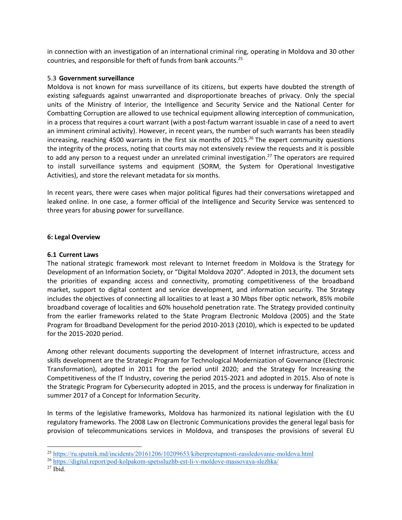in connection with an investigation of an international criminal ring, operating in Moldova and 30 other countries, and responsible for theft of funds from bank accounts.<sup>25</sup>

#### 5.3 **Government surveillance**

Moldova is not known for mass surveillance of its citizens, but experts have doubted the strength of existing safeguards against unwarranted and disproportionate breaches of privacy. Only the special units of the Ministry of Interior, the Intelligence and Security Service and the National Center for Combatting Corruption are allowed to use technical equipment allowing interception of communication, in a process that requires a court warrant (with a post-factum warrant issuable in case of a need to avert an imminent criminal activity). However, in recent years, the number of such warrants has been steadily increasing, reaching 4500 warrants in the first six months of 2015.<sup>26</sup> The expert community questions the integrity of the process, noting that courts may not extensively review the requests and it is possible to add any person to a request under an unrelated criminal investigation.<sup>27</sup> The operators are required to install surveillance systems and equipment (SORM, the System for Operational Investigative Activities), and store the relevant metadata for six months.

In recent years, there were cases when major political figures had their conversations wiretapped and leaked online. In one case, a former official of the Intelligence and Security Service was sentenced to three years for abusing power for surveillance.

#### **6: Legal Overview**

#### **6.1 Current Laws**

The national strategic framework most relevant to Internet freedom in Moldova is the Strategy for Development of an Information Society, or "Digital Moldova 2020". Adopted in 2013, the document sets the priorities of expanding access and connectivity, promoting competitiveness of the broadband market, support to digital content and service development, and information security. The Strategy includes the objectives of connecting all localities to at least a 30 Mbps fiber optic network, 85% mobile broadband coverage of localities and 60% household penetration rate. The Strategy provided continuity from the earlier frameworks related to the State Program Electronic Moldova (2005) and the State Program for Broadband Development for the period 2010-2013 (2010), which is expected to be updated for the 2015-2020 period.

Among other relevant documents supporting the development of Internet infrastructure, access and skills development are the Strategic Program for Technological Modernization of Governance (Electronic Transformation), adopted in 2011 for the period until 2020; and the Strategy for Increasing the Competitiveness of the IT Industry, covering the period 2015-2021 and adopted in 2015. Also of note is the Strategic Program for Cybersecurity adopted in 2015, and the process is underway for finalization in summer 2017 of a Concept for Information Security.

In terms of the legislative frameworks, Moldova has harmonized its national legislation with the EU regulatory frameworks. The 2008 Law on Electronic Communications provides the general legal basis for provision of telecommunications services in Moldova, and transposes the provisions of several EU

<sup>25</sup> <https://ru.sputnik.md/incidents/20161206/10209653/kiberprestupnosti-rassledovanie-moldova.html>

<sup>26</sup> <https://digital.report/pod-kolpakom-spetssluzhb-est-li-v-moldove-massovaya-slezhka/>

 $27$  Ibid.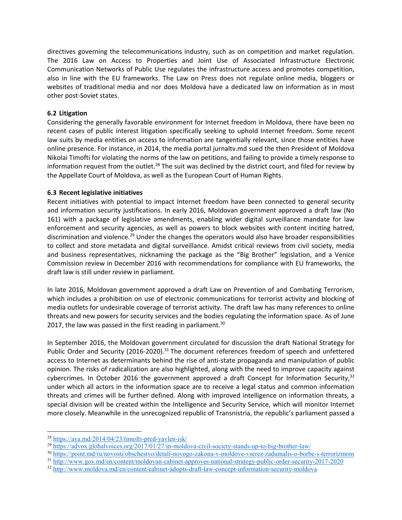directives governing the telecommunications industry, such as on competition and market regulation. The 2016 Law on Access to Properties and Joint Use of Associated Infrastructure Electronic Communication Networks of Public Use regulates the infrastructure access and promotes competition, also in line with the EU frameworks. The Law on Press does not regulate online media, bloggers or websites of traditional media and nor does Moldova have a dedicated law on information as in most other post-Soviet states.

## **6.2 Litigation**

Considering the generally favorable environment for Internet freedom in Moldova, there have been no recent cases of public interest litigation specifically seeking to uphold Internet freedom. Some recent law suits by media entities on access to information are tangentially relevant, since those entities have online presence. For instance, in 2014, the media portal jurnaltv.md sued the then President of Moldova Nikolai Timofti for violating the norms of the law on petitions, and failing to provide a timely response to information request from the outlet.<sup>28</sup> The suit was declined by the district court, and filed for review by the Appellate Court of Moldova, as well as the European Court of Human Rights.

#### **6.3 Recent legislative initiatives**

Recent initiatives with potential to impact Internet freedom have been connected to general security and information security justifications. In early 2016, Moldovan government approved a draft law (No 161) with a package of legislative amendments, enabling wider digital surveillance mandate for law enforcement and security agencies, as well as powers to block websites with content inciting hatred, discrimination and violence.<sup>29</sup> Under the changes the operators would also have broader responsibilities to collect and store metadata and digital surveillance. Amidst critical reviews from civil society, media and business representatives, nicknaming the package as the "Big Brother" legislation, and a Venice Commission review in December 2016 with recommendations for compliance with EU frameworks, the draft law is still under review in parliament.

In late 2016, Moldovan government approved a draft Law on Prevention of and Combating Terrorism, which includes a prohibition on use of electronic communications for terrorist activity and blocking of media outlets for undesirable coverage of terrorist activity. The draft law has many references to online threats and new powers for security services and the bodies regulating the information space. As of June 2017, the law was passed in the first reading in parliament. $30$ 

In September 2016, the Moldovan government circulated for discussion the draft National Strategy for Public Order and Security (2016-2020).<sup>31</sup> The document references freedom of speech and unfettered access to Internet as determinants behind the rise of anti-state propaganda and manipulation of public opinion. The risks of radicalization are also highlighted, along with the need to improve capacity against cybercrimes. In October 2016 the government approved a draft Concept for Information Security,  $32$ under which all actors in the information space are to receive a legal status and common information threats and crimes will be further defined. Along with improved intelligence on information threats, a special division will be created within the Intelligence and Security Service, which will monitor Internet more closely. Meanwhile in the unrecognized republic of Transnistria, the republic's parliament passed a

<sup>28</sup> <https://ava.md/2014/04/23/timofti-pred-yavlen-isk/>

<sup>29</sup> <https://advox.globalvoices.org/2017/01/27/in-moldova-civil-society-stands-up-to-big-brother-law/>

<sup>30</sup> <https://point.md/ru/novosti/obschestvo/detali-novogo-zakona-v-moldove-vserez-zadumalis-o-borbe-s-terrorizmom>

<sup>31</sup> <http://www.gov.md/en/content/moldovan-cabinet-approves-national-strategy-public-order-security-2017-2020>

<sup>32</sup> <http://www.moldova.md/en/content/cabinet-adopts-draft-law-concept-information-security-moldova>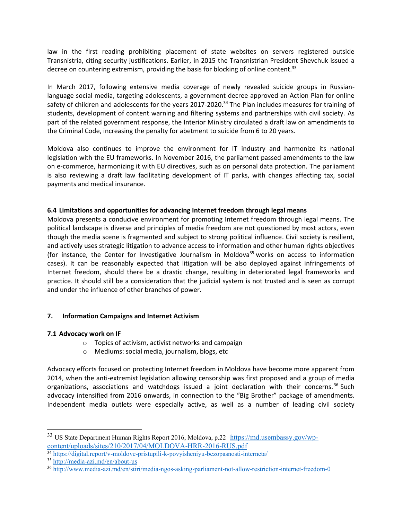law in the first reading prohibiting placement of state websites on servers registered outside Transnistria, citing security justifications. Earlier, in 2015 the Transnistrian President Shevchuk issued a decree on countering extremism, providing the basis for blocking of online content.<sup>33</sup>

In March 2017, following extensive media coverage of newly revealed suicide groups in Russianlanguage social media, targeting adolescents, a government decree approved an Action Plan for online safety of children and adolescents for the years 2017-2020.<sup>34</sup> The Plan includes measures for training of students, development of content warning and filtering systems and partnerships with civil society. As part of the related government response, the Interior Ministry circulated a draft law on amendments to the Criminal Code, increasing the penalty for abetment to suicide from 6 to 20 years.

Moldova also continues to improve the environment for IT industry and harmonize its national legislation with the EU frameworks. In November 2016, the parliament passed amendments to the law on e-commerce, harmonizing it with EU directives, such as on personal data protection. The parliament is also reviewing a draft law facilitating development of IT parks, with changes affecting tax, social payments and medical insurance.

#### **6.4 Limitations and opportunities for advancing Internet freedom through legal means**

Moldova presents a conducive environment for promoting Internet freedom through legal means. The political landscape is diverse and principles of media freedom are not questioned by most actors, even though the media scene is fragmented and subject to strong political influence. Civil society is resilient, and actively uses strategic litigation to advance access to information and other human rights objectives (for instance, the Center for Investigative Journalism in Moldova<sup>35</sup> works on access to information cases). It can be reasonably expected that litigation will be also deployed against infringements of Internet freedom, should there be a drastic change, resulting in deteriorated legal frameworks and practice. It should still be a consideration that the judicial system is not trusted and is seen as corrupt and under the influence of other branches of power.

# **7. Information Campaigns and Internet Activism**

# **7.1 Advocacy work on IF**

- o Topics of activism, activist networks and campaign
- o Mediums: social media, journalism, blogs, etc

Advocacy efforts focused on protecting Internet freedom in Moldova have become more apparent from 2014, when the anti-extremist legislation allowing censorship was first proposed and a group of media organizations, associations and watchdogs issued a joint declaration with their concerns.<sup>36</sup> Such advocacy intensified from 2016 onwards, in connection to the "Big Brother" package of amendments. Independent media outlets were especially active, as well as a number of leading civil society

<sup>&</sup>lt;sup>33</sup> US State Department Human Rights Report 2016, Moldova, p.22 [https://md.usembassy.gov/wp](https://md.usembassy.gov/wp-content/uploads/sites/210/2017/04/MOLDOVA-HRR-2016-RUS.pdf)[content/uploads/sites/210/2017/04/MOLDOVA-HRR-2016-RUS.pdf](https://md.usembassy.gov/wp-content/uploads/sites/210/2017/04/MOLDOVA-HRR-2016-RUS.pdf)

<sup>34</sup> <https://digital.report/v-moldove-pristupili-k-povyisheniyu-bezopasnosti-interneta/>

<sup>35</sup> <http://media-azi.md/en/about-us>

<sup>36</sup> <http://www.media-azi.md/en/stiri/media-ngos-asking-parliament-not-allow-restriction-internet-freedom-0>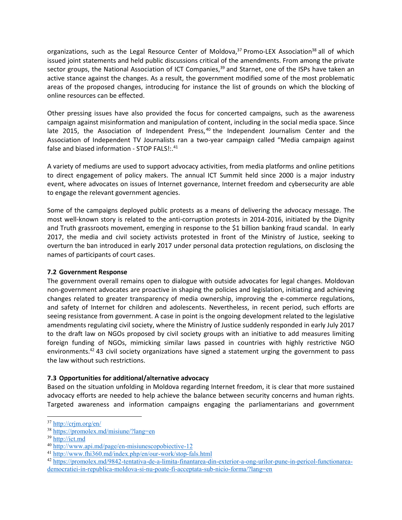organizations, such as the Legal Resource Center of Moldova,<sup>37</sup> Promo-LEX Association<sup>38</sup> all of which issued joint statements and held public discussions critical of the amendments. From among the private sector groups, the National Association of ICT Companies,<sup>39</sup> and Starnet, one of the ISPs have taken an active stance against the changes. As a result, the government modified some of the most problematic areas of the proposed changes, introducing for instance the list of grounds on which the blocking of online resources can be effected.

Other pressing issues have also provided the focus for concerted campaigns, such as the awareness campaign against misinformation and manipulation of content, including in the social media space. Since late 2015, the Association of Independent Press,  $40$  the Independent Journalism Center and the Association of Independent TV Journalists ran a two-year campaign called "Media campaign against false and biased information - STOP FALS!:.<sup>41</sup>

A variety of mediums are used to support advocacy activities, from media platforms and online petitions to direct engagement of policy makers. The annual ICT Summit held since 2000 is a major industry event, where advocates on issues of Internet governance, Internet freedom and cybersecurity are able to engage the relevant government agencies.

Some of the campaigns deployed public protests as a means of delivering the advocacy message. The most well-known story is related to the anti-corruption protests in 2014-2016, initiated by the Dignity and Truth grassroots movement, emerging in response to the \$1 billion banking fraud scandal. In early 2017, the media and civil society activists protested in front of the Ministry of Justice, seeking to overturn the ban introduced in early 2017 under personal data protection regulations, on disclosing the names of participants of court cases.

#### **7.2 Government Response**

The government overall remains open to dialogue with outside advocates for legal changes. Moldovan non-government advocates are proactive in shaping the policies and legislation, initiating and achieving changes related to greater transparency of media ownership, improving the e-commerce regulations, and safety of Internet for children and adolescents. Nevertheless, in recent period, such efforts are seeing resistance from government. A case in point is the ongoing development related to the legislative amendments regulating civil society, where the Ministry of Justice suddenly responded in early July 2017 to the draft law on NGOs proposed by civil society groups with an initiative to add measures limiting foreign funding of NGOs, mimicking similar laws passed in countries with highly restrictive NGO environments.<sup>42</sup> 43 civil society organizations have signed a statement urging the government to pass the law without such restrictions.

# **7.3 Opportunities for additional/alternative advocacy**

Based on the situation unfolding in Moldova regarding Internet freedom, it is clear that more sustained advocacy efforts are needed to help achieve the balance between security concerns and human rights. Targeted awareness and information campaigns engaging the parliamentarians and government

<sup>37</sup> <http://crjm.org/en/>

<sup>38</sup> <https://promolex.md/misiune/?lang=en>

<sup>39</sup> [http://ict.md](http://ict.md/)

<sup>40</sup> <http://www.api.md/page/en-misiunescopobiective-12>

<sup>41</sup> <http://www.fhi360.md/index.php/en/our-work/stop-fals.html>

<sup>42</sup> [https://promolex.md/9842-tentativa-de-a-limita-finantarea-din-exterior-a-ong-urilor-pune-in-pericol-functionarea](https://promolex.md/9842-tentativa-de-a-limita-finantarea-din-exterior-a-ong-urilor-pune-in-pericol-functionarea-democratiei-in-republica-moldova-si-nu-poate-fi-acceptata-sub-nicio-forma/?lang=en)[democratiei-in-republica-moldova-si-nu-poate-fi-acceptata-sub-nicio-forma/?lang=en](https://promolex.md/9842-tentativa-de-a-limita-finantarea-din-exterior-a-ong-urilor-pune-in-pericol-functionarea-democratiei-in-republica-moldova-si-nu-poate-fi-acceptata-sub-nicio-forma/?lang=en)